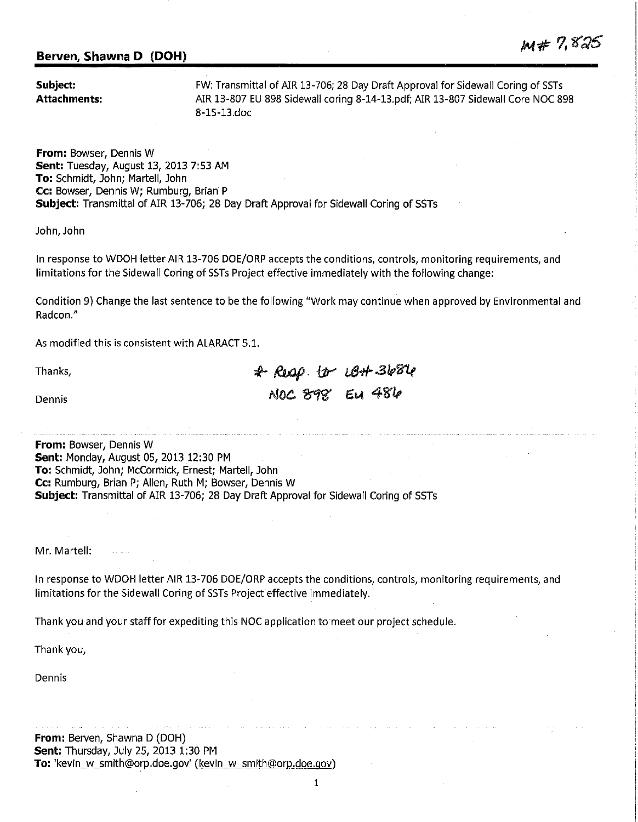## **Berven, Shawna D (DOH)**

**Subject: Attachments:** 

FW: Transmittal of AIR 13-706; 28 Day Draft Approval for Sidewall Coring of SSTs AIR 13-807 EU 898 Sidewall coring 8-14-13.pdf; AIR 13-807 Sidewall Core NOC 898 8-15-13.doc

 $M# 7,825$ 

**From:** Bowser, Dennis W **Sent:** Tuesday, August 13, 2013 7:53 AM **To:** Schmidt, John; Martell, John **Cc:** Bowser, Dennis W; Rumburg, Brian P **Subject:** Transmittal of AIR 13-706; 28 Day Draft Approval for Sidewall Coring of SSTs

John, John

In response to WDOH letter AIR 13-706 DOE/ORP accepts the conditions, controls, monitoring requirements, and limitations for the Sidewall Coring of SSTs Project effective immediately with the following change:

Condition 9) Change the last sentence to be the following "Work may continue when approved by Environmental and Radcon."

As modified this is consistent with ALARACT 5.1.

Thanks,

:i- *l&ap.* tfr' u3""" *.31,i'l.f*   $NOC. 898'$  Eu 481

Dennis

**From:** Bowser, Dennis W **Sent:** Monday, August 05, 2013 12:30 PM **To:** Schmidt, John; McCormick, Ernest; Martell, John **Cc:** Rumburg, Brian P; Allen, Ruth M; Bowser, Dennis W **Subject:** Transmittal of AIR 13-706; 28 Day Draft Approval for Sidewall Coring of SSTs

Mr. Martell:

In response to WDOH letter AIR 13-706 DOE/ORP accepts the conditions, controls, monitoring requirements, and limitations for the Sidewall Coring of SSTs Project effective immediately.

Thank you and your staff for expediting this NOC application to meet our project schedule.

Thank you,

Dennis

**From: Berven, Shawna D (DOH) Sent:** Thursday, July 25, 2013 1:30 PM **To:** 'kevin\_w\_smith@orp.doe.gov' (kevin w smith@orp.doe.gov)